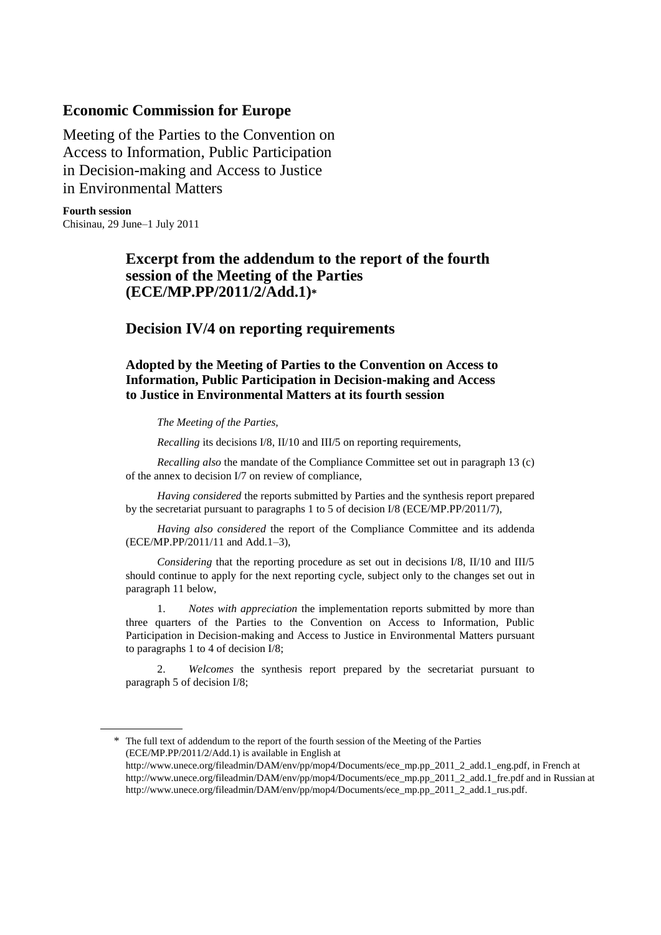# **Economic Commission for Europe**

Meeting of the Parties to the Convention on Access to Information, Public Participation in Decision-making and Access to Justice in Environmental Matters

**Fourth session** Chisinau, 29 June–1 July 2011

# **Excerpt from the addendum to the report of the fourth session of the Meeting of the Parties (ECE/MP.PP/2011/2/Add.1)\***

# **Decision IV/4 on reporting requirements**

**Adopted by the Meeting of Parties to the Convention on Access to Information, Public Participation in Decision-making and Access to Justice in Environmental Matters at its fourth session**

*The Meeting of the Parties,* 

*Recalling* its decisions I/8, II/10 and III/5 on reporting requirements,

*Recalling also* the mandate of the Compliance Committee set out in paragraph 13 (c) of the annex to decision I/7 on review of compliance,

*Having considered* the reports submitted by Parties and the synthesis report prepared by the secretariat pursuant to paragraphs 1 to 5 of decision I/8 (ECE/MP.PP/2011/7),

*Having also considered* the report of the Compliance Committee and its addenda (ECE/MP.PP/2011/11 and Add.1–3),

*Considering* that the reporting procedure as set out in decisions I/8, II/10 and III/5 should continue to apply for the next reporting cycle, subject only to the changes set out in paragraph 11 below,

1. *Notes with appreciation* the implementation reports submitted by more than three quarters of the Parties to the Convention on Access to Information, Public Participation in Decision-making and Access to Justice in Environmental Matters pursuant to paragraphs 1 to 4 of decision I/8;

2. *Welcomes* the synthesis report prepared by the secretariat pursuant to paragraph 5 of decision I/8;

<sup>\*</sup> The full text of addendum to the report of the fourth session of the Meeting of the Parties (ECE/MP.PP/2011/2/Add.1) is available in English at

[http://www.unece.org/fileadmin/DAM/env/pp/mop4/Documents/ece\\_mp.pp\\_2011\\_2\\_add.1\\_eng.pdf,](http://www.unece.org/fileadmin/DAM/env/pp/mop4/Documents/ece_mp.pp_2011_2_add.1_eng.pdf) in French at [http://www.unece.org/fileadmin/DAM/env/pp/mop4/Documents/ece\\_mp.pp\\_2011\\_2\\_add.1\\_fre.pdf](http://www.unece.org/fileadmin/DAM/env/pp/mop4/Documents/ece_mp.pp_2011_2_add.1_fre.pdf) and in Russian at http://www.unece.org/fileadmin/DAM/env/pp/mop4/Documents/ece\_mp.pp\_2011\_2\_add.1\_rus.pdf.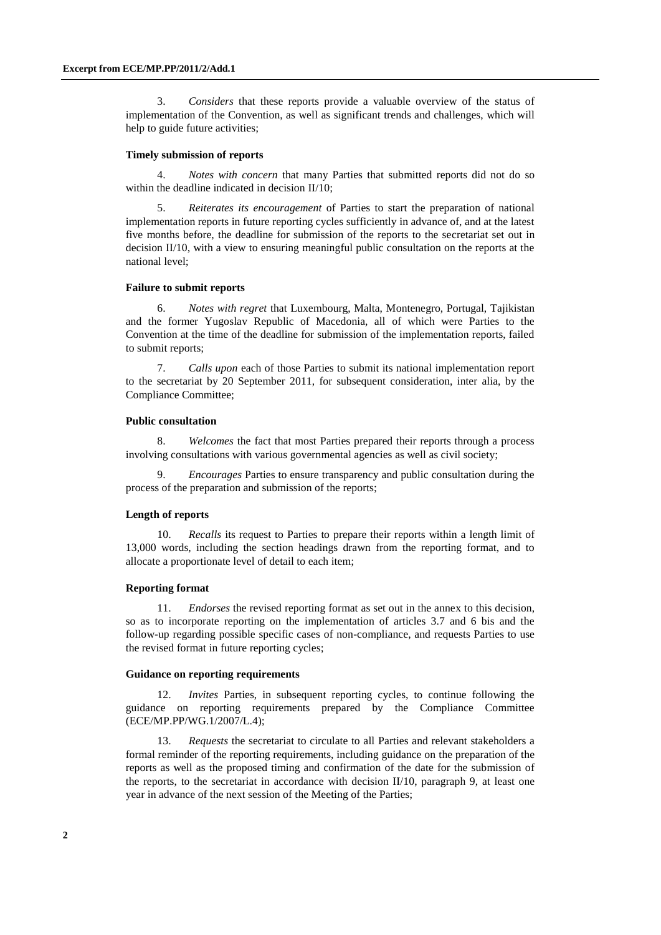3. *Considers* that these reports provide a valuable overview of the status of implementation of the Convention, as well as significant trends and challenges, which will help to guide future activities;

#### **Timely submission of reports**

4. *Notes with concern* that many Parties that submitted reports did not do so within the deadline indicated in decision II/10;

5. *Reiterates its encouragement* of Parties to start the preparation of national implementation reports in future reporting cycles sufficiently in advance of, and at the latest five months before, the deadline for submission of the reports to the secretariat set out in decision II/10, with a view to ensuring meaningful public consultation on the reports at the national level;

#### **Failure to submit reports**

6. *Notes with regret* that Luxembourg, Malta, Montenegro, Portugal, Tajikistan and the former Yugoslav Republic of Macedonia, all of which were Parties to the Convention at the time of the deadline for submission of the implementation reports, failed to submit reports;

7. *Calls upon* each of those Parties to submit its national implementation report to the secretariat by 20 September 2011, for subsequent consideration, inter alia, by the Compliance Committee;

#### **Public consultation**

8. *Welcomes* the fact that most Parties prepared their reports through a process involving consultations with various governmental agencies as well as civil society;

9. *Encourages* Parties to ensure transparency and public consultation during the process of the preparation and submission of the reports;

#### **Length of reports**

10. *Recalls* its request to Parties to prepare their reports within a length limit of 13,000 words, including the section headings drawn from the reporting format, and to allocate a proportionate level of detail to each item;

#### **Reporting format**

11. *Endorses* the revised reporting format as set out in the annex to this decision, so as to incorporate reporting on the implementation of articles 3.7 and 6 bis and the follow-up regarding possible specific cases of non-compliance, and requests Parties to use the revised format in future reporting cycles;

#### **Guidance on reporting requirements**

12. *Invites* Parties, in subsequent reporting cycles, to continue following the guidance on reporting requirements prepared by the Compliance Committee (ECE/MP.PP/WG.1/2007/L.4);

13. *Requests* the secretariat to circulate to all Parties and relevant stakeholders a formal reminder of the reporting requirements, including guidance on the preparation of the reports as well as the proposed timing and confirmation of the date for the submission of the reports, to the secretariat in accordance with decision  $II/10$ , paragraph 9, at least one year in advance of the next session of the Meeting of the Parties;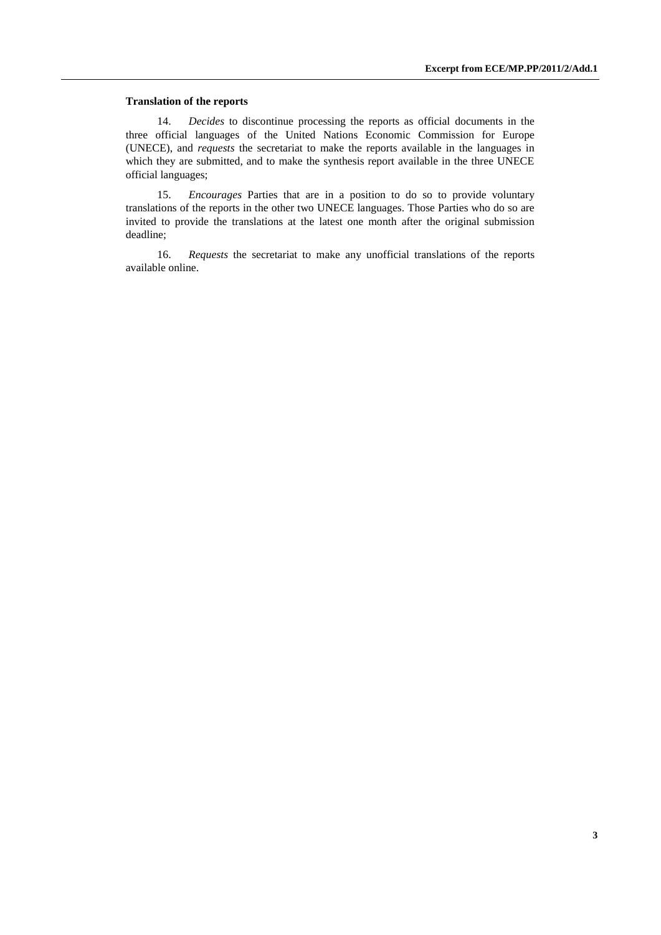#### **Translation of the reports**

14. *Decides* to discontinue processing the reports as official documents in the three official languages of the United Nations Economic Commission for Europe (UNECE), and *requests* the secretariat to make the reports available in the languages in which they are submitted, and to make the synthesis report available in the three UNECE official languages;

15. *Encourages* Parties that are in a position to do so to provide voluntary translations of the reports in the other two UNECE languages. Those Parties who do so are invited to provide the translations at the latest one month after the original submission deadline;

16. *Requests* the secretariat to make any unofficial translations of the reports available online.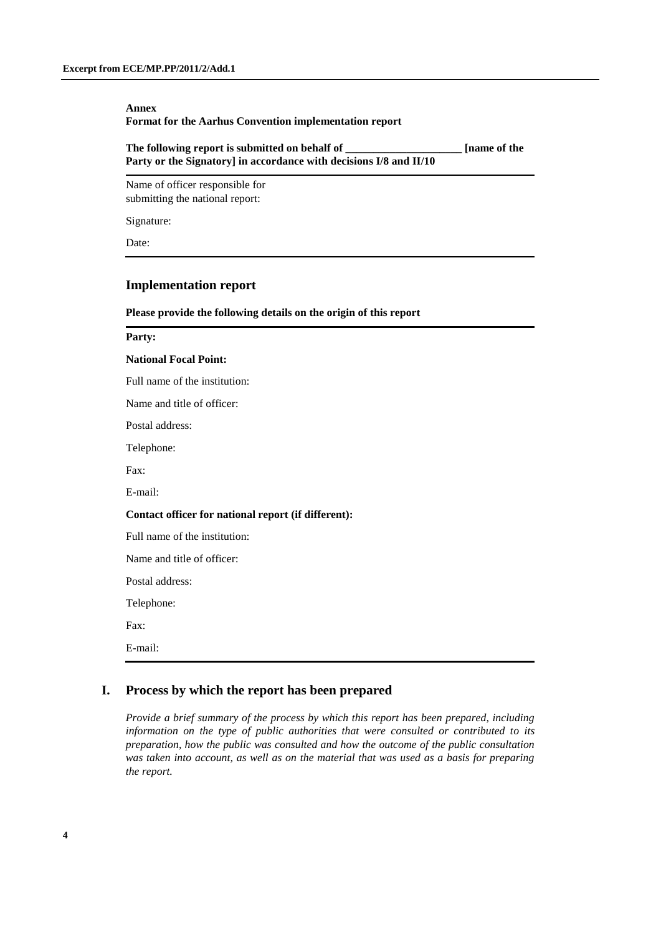#### **Annex Format for the Aarhus Convention implementation report**

| The following report is submitted on behalf of                     | <b>Iname of the</b> |
|--------------------------------------------------------------------|---------------------|
| Party or the Signatory] in accordance with decisions I/8 and II/10 |                     |

Name of officer responsible for submitting the national report:

Signature:

Date:

## **Implementation report**

#### **Please provide the following details on the origin of this report**

#### **Party:**

#### **National Focal Point:**

Full name of the institution:

Name and title of officer:

Postal address:

Telephone:

Fax:

E-mail:

#### **Contact officer for national report (if different):**

Full name of the institution:

Name and title of officer:

Postal address:

Telephone:

Fax:

E-mail:

### **I. Process by which the report has been prepared**

*Provide a brief summary of the process by which this report has been prepared, including information on the type of public authorities that were consulted or contributed to its preparation, how the public was consulted and how the outcome of the public consultation was taken into account, as well as on the material that was used as a basis for preparing the report.*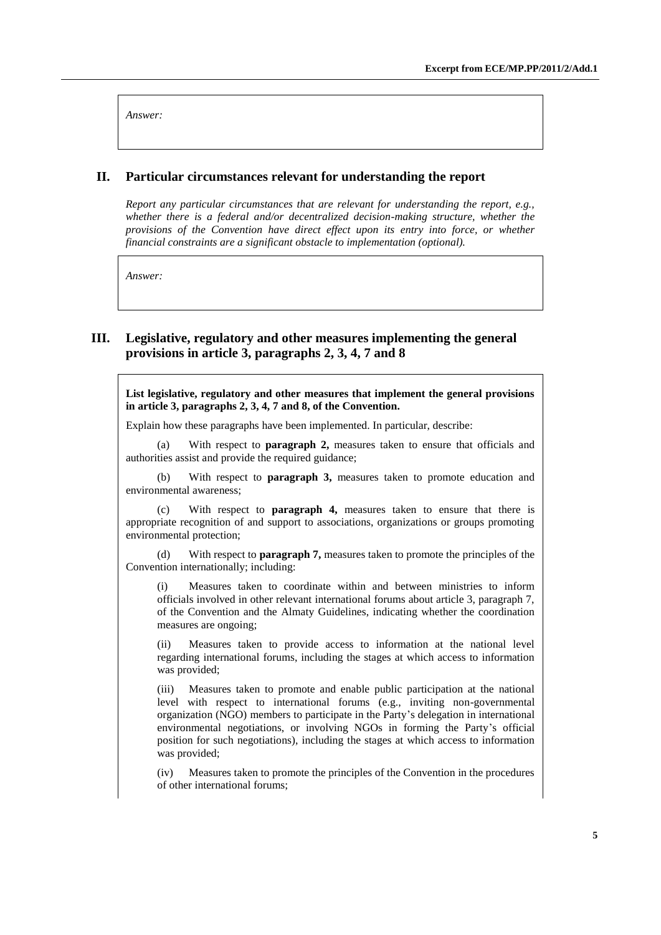*Answer:*

#### **II. Particular circumstances relevant for understanding the report**

*Report any particular circumstances that are relevant for understanding the report, e.g., whether there is a federal and/or decentralized decision-making structure, whether the provisions of the Convention have direct effect upon its entry into force, or whether financial constraints are a significant obstacle to implementation (optional).*

*Answer:*

### **III. Legislative, regulatory and other measures implementing the general provisions in article 3, paragraphs 2, 3, 4, 7 and 8**

**List legislative, regulatory and other measures that implement the general provisions in article 3, paragraphs 2, 3, 4, 7 and 8, of the Convention.**

Explain how these paragraphs have been implemented. In particular, describe:

(a) With respect to **paragraph 2,** measures taken to ensure that officials and authorities assist and provide the required guidance;

(b) With respect to **paragraph 3,** measures taken to promote education and environmental awareness;

(c) With respect to **paragraph 4,** measures taken to ensure that there is appropriate recognition of and support to associations, organizations or groups promoting environmental protection;

(d) With respect to **paragraph 7,** measures taken to promote the principles of the Convention internationally; including:

(i) Measures taken to coordinate within and between ministries to inform officials involved in other relevant international forums about article 3, paragraph 7, of the Convention and the Almaty Guidelines, indicating whether the coordination measures are ongoing;

(ii) Measures taken to provide access to information at the national level regarding international forums, including the stages at which access to information was provided;

(iii) Measures taken to promote and enable public participation at the national level with respect to international forums (e.g., inviting non-governmental organization (NGO) members to participate in the Party's delegation in international environmental negotiations, or involving NGOs in forming the Party's official position for such negotiations), including the stages at which access to information was provided;

(iv) Measures taken to promote the principles of the Convention in the procedures of other international forums;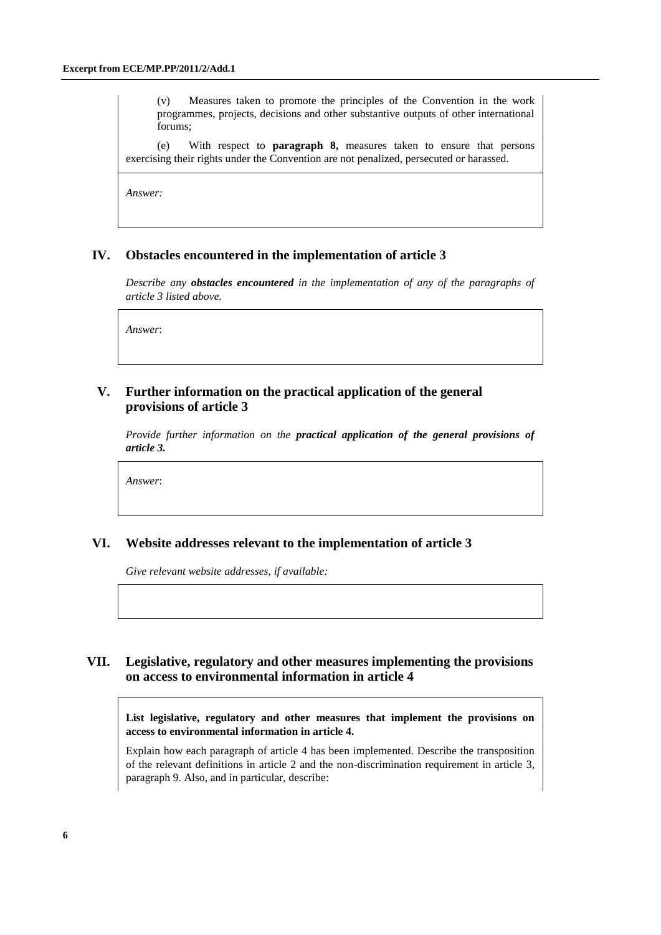(v) Measures taken to promote the principles of the Convention in the work programmes, projects, decisions and other substantive outputs of other international forums;

(e) With respect to **paragraph 8,** measures taken to ensure that persons exercising their rights under the Convention are not penalized, persecuted or harassed.

*Answer:*

### **IV. Obstacles encountered in the implementation of article 3**

*Describe any obstacles encountered in the implementation of any of the paragraphs of article 3 listed above.*

*Answer*:

### **V. Further information on the practical application of the general provisions of article 3**

*Provide further information on the practical application of the general provisions of article 3.*

*Answer*:

### **VI. Website addresses relevant to the implementation of article 3**

*Give relevant website addresses, if available:*

# **VII. Legislative, regulatory and other measures implementing the provisions on access to environmental information in article 4**

**List legislative, regulatory and other measures that implement the provisions on access to environmental information in article 4.**

Explain how each paragraph of article 4 has been implemented. Describe the transposition of the relevant definitions in article 2 and the non-discrimination requirement in article 3, paragraph 9. Also, and in particular, describe: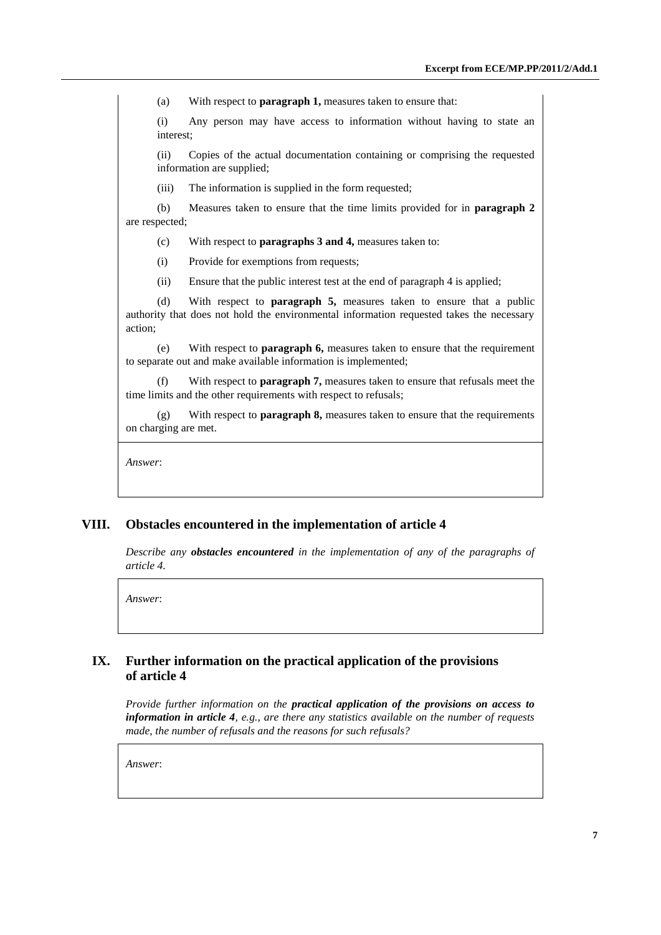(a) With respect to **paragraph 1,** measures taken to ensure that:

(i) Any person may have access to information without having to state an interest;

(ii) Copies of the actual documentation containing or comprising the requested information are supplied;

(iii) The information is supplied in the form requested;

(b) Measures taken to ensure that the time limits provided for in **paragraph 2** are respected;

(c) With respect to **paragraphs 3 and 4,** measures taken to:

(i) Provide for exemptions from requests;

(ii) Ensure that the public interest test at the end of paragraph 4 is applied;

(d) With respect to **paragraph 5,** measures taken to ensure that a public authority that does not hold the environmental information requested takes the necessary action;

(e) With respect to **paragraph 6,** measures taken to ensure that the requirement to separate out and make available information is implemented;

(f) With respect to **paragraph 7,** measures taken to ensure that refusals meet the time limits and the other requirements with respect to refusals;

(g) With respect to **paragraph 8,** measures taken to ensure that the requirements on charging are met.

*Answer*:

### **VIII. Obstacles encountered in the implementation of article 4**

*Describe any obstacles encountered in the implementation of any of the paragraphs of article 4.*

*Answer*:

## **IX. Further information on the practical application of the provisions of article 4**

*Provide further information on the practical application of the provisions on access to information in article 4, e.g., are there any statistics available on the number of requests made, the number of refusals and the reasons for such refusals?*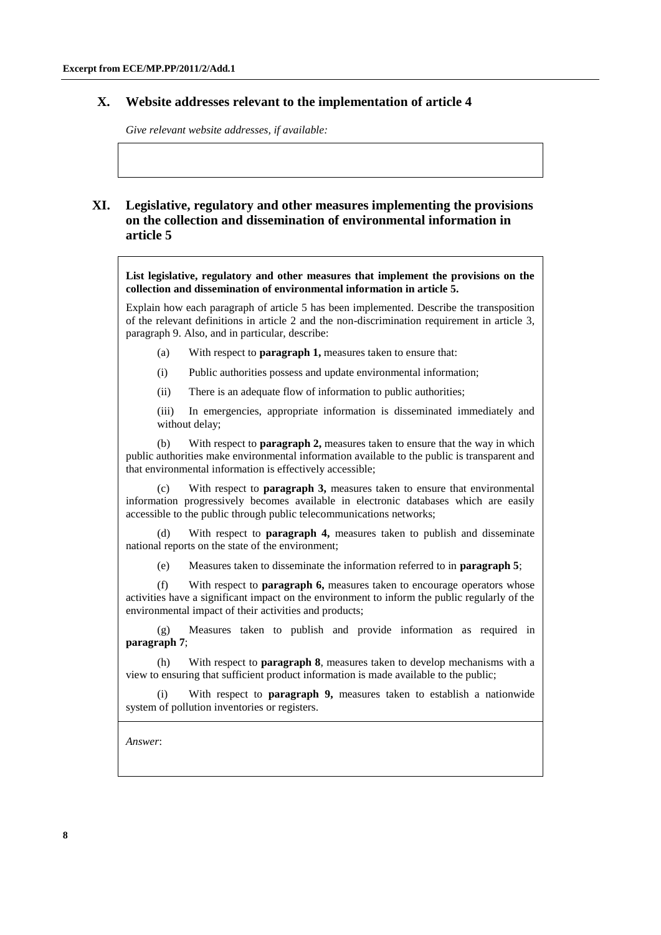### **X. Website addresses relevant to the implementation of article 4**

*Give relevant website addresses, if available:*

# **XI. Legislative, regulatory and other measures implementing the provisions on the collection and dissemination of environmental information in article 5**

**List legislative, regulatory and other measures that implement the provisions on the collection and dissemination of environmental information in article 5.**

Explain how each paragraph of article 5 has been implemented. Describe the transposition of the relevant definitions in article 2 and the non-discrimination requirement in article 3, paragraph 9. Also, and in particular, describe:

- (a) With respect to **paragraph 1,** measures taken to ensure that:
- (i) Public authorities possess and update environmental information;
- (ii) There is an adequate flow of information to public authorities;

(iii) In emergencies, appropriate information is disseminated immediately and without delay;

(b) With respect to **paragraph 2,** measures taken to ensure that the way in which public authorities make environmental information available to the public is transparent and that environmental information is effectively accessible;

(c) With respect to **paragraph 3,** measures taken to ensure that environmental information progressively becomes available in electronic databases which are easily accessible to the public through public telecommunications networks;

(d) With respect to **paragraph 4,** measures taken to publish and disseminate national reports on the state of the environment;

(e) Measures taken to disseminate the information referred to in **paragraph 5**;

(f) With respect to **paragraph 6,** measures taken to encourage operators whose activities have a significant impact on the environment to inform the public regularly of the environmental impact of their activities and products;

(g) Measures taken to publish and provide information as required in **paragraph 7**;

(h) With respect to **paragraph 8**, measures taken to develop mechanisms with a view to ensuring that sufficient product information is made available to the public;

(i) With respect to **paragraph 9,** measures taken to establish a nationwide system of pollution inventories or registers.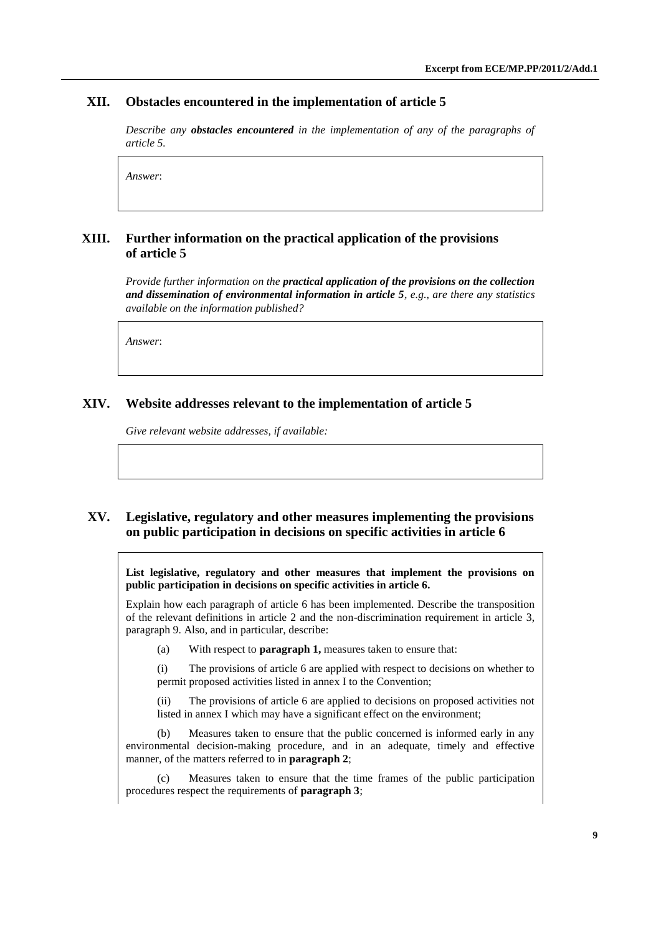### **XII. Obstacles encountered in the implementation of article 5**

*Describe any obstacles encountered in the implementation of any of the paragraphs of article 5.*

*Answer*:

## **XIII. Further information on the practical application of the provisions of article 5**

*Provide further information on the practical application of the provisions on the collection and dissemination of environmental information in article 5, e.g., are there any statistics available on the information published?*

*Answer*:

### **XIV. Website addresses relevant to the implementation of article 5**

*Give relevant website addresses, if available:*

### **XV. Legislative, regulatory and other measures implementing the provisions on public participation in decisions on specific activities in article 6**

**List legislative, regulatory and other measures that implement the provisions on public participation in decisions on specific activities in article 6.**

Explain how each paragraph of article 6 has been implemented. Describe the transposition of the relevant definitions in article 2 and the non-discrimination requirement in article 3, paragraph 9. Also, and in particular, describe:

(a) With respect to **paragraph 1,** measures taken to ensure that:

(i) The provisions of article 6 are applied with respect to decisions on whether to permit proposed activities listed in annex I to the Convention;

(ii) The provisions of article 6 are applied to decisions on proposed activities not listed in annex I which may have a significant effect on the environment;

(b) Measures taken to ensure that the public concerned is informed early in any environmental decision-making procedure, and in an adequate, timely and effective manner, of the matters referred to in **paragraph 2**;

(c) Measures taken to ensure that the time frames of the public participation procedures respect the requirements of **paragraph 3**;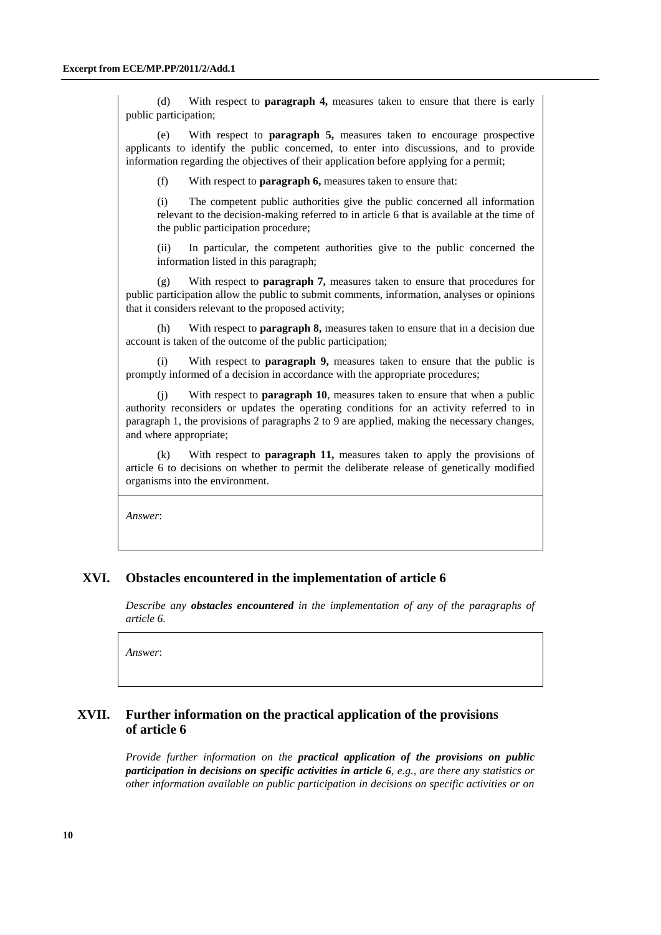(d) With respect to **paragraph 4,** measures taken to ensure that there is early public participation;

(e) With respect to **paragraph 5,** measures taken to encourage prospective applicants to identify the public concerned, to enter into discussions, and to provide information regarding the objectives of their application before applying for a permit;

(f) With respect to **paragraph 6,** measures taken to ensure that:

(i) The competent public authorities give the public concerned all information relevant to the decision-making referred to in article 6 that is available at the time of the public participation procedure;

(ii) In particular, the competent authorities give to the public concerned the information listed in this paragraph;

(g) With respect to **paragraph 7,** measures taken to ensure that procedures for public participation allow the public to submit comments, information, analyses or opinions that it considers relevant to the proposed activity;

(h) With respect to **paragraph 8,** measures taken to ensure that in a decision due account is taken of the outcome of the public participation;

(i) With respect to **paragraph 9,** measures taken to ensure that the public is promptly informed of a decision in accordance with the appropriate procedures;

With respect to **paragraph 10**, measures taken to ensure that when a public authority reconsiders or updates the operating conditions for an activity referred to in paragraph 1, the provisions of paragraphs 2 to 9 are applied, making the necessary changes, and where appropriate;

(k) With respect to **paragraph 11,** measures taken to apply the provisions of article 6 to decisions on whether to permit the deliberate release of genetically modified organisms into the environment.

*Answer*:

### **XVI. Obstacles encountered in the implementation of article 6**

*Describe any obstacles encountered in the implementation of any of the paragraphs of article 6.*

*Answer*:

## **XVII. Further information on the practical application of the provisions of article 6**

*Provide further information on the practical application of the provisions on public participation in decisions on specific activities in article 6, e.g., are there any statistics or other information available on public participation in decisions on specific activities or on*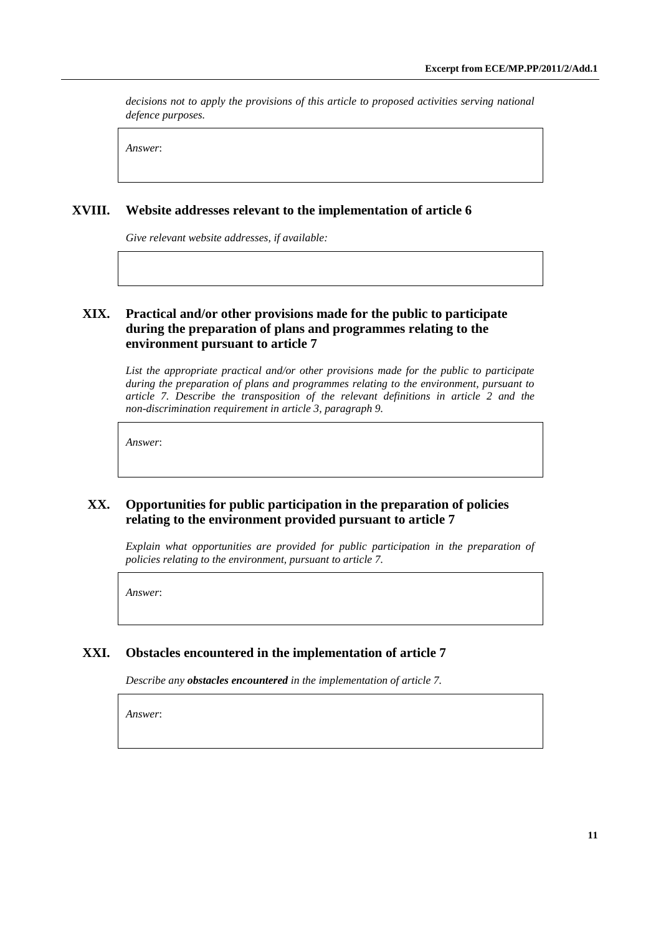*decisions not to apply the provisions of this article to proposed activities serving national defence purposes.*

*Answer*:

## **XVIII. Website addresses relevant to the implementation of article 6**

*Give relevant website addresses, if available:*

# **XIX. Practical and/or other provisions made for the public to participate during the preparation of plans and programmes relating to the environment pursuant to article 7**

*List the appropriate practical and/or other provisions made for the public to participate during the preparation of plans and programmes relating to the environment, pursuant to article 7. Describe the transposition of the relevant definitions in article 2 and the non-discrimination requirement in article 3, paragraph 9.*

*Answer*:

# **XX. Opportunities for public participation in the preparation of policies relating to the environment provided pursuant to article 7**

*Explain what opportunities are provided for public participation in the preparation of policies relating to the environment, pursuant to article 7.*

*Answer*:

# **XXI. Obstacles encountered in the implementation of article 7**

*Describe any obstacles encountered in the implementation of article 7.*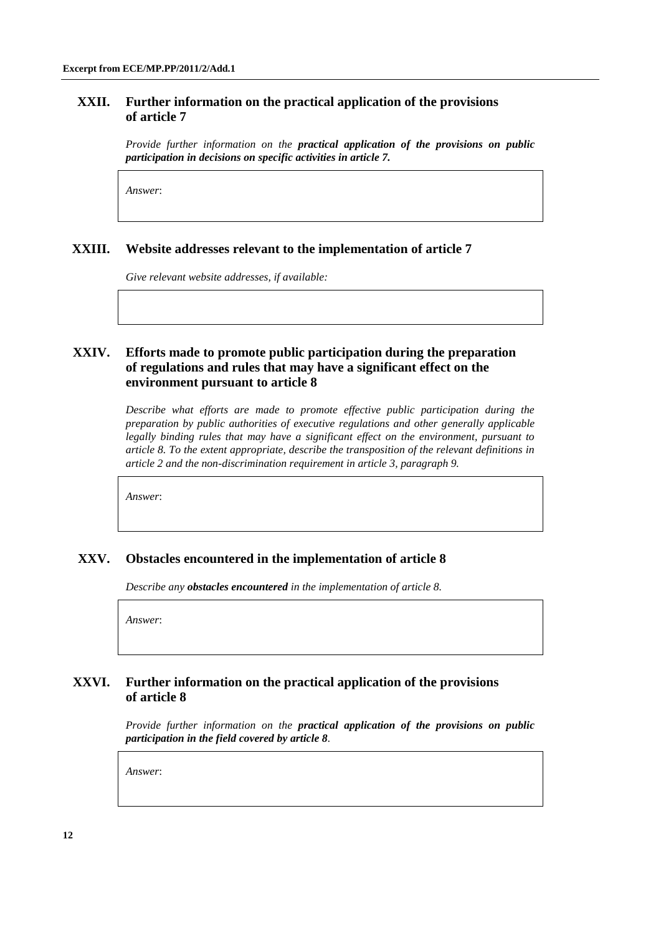### **XXII. Further information on the practical application of the provisions of article 7**

*Provide further information on the practical application of the provisions on public participation in decisions on specific activities in article 7.*

*Answer*:

### **XXIII. Website addresses relevant to the implementation of article 7**

*Give relevant website addresses, if available:*

# **XXIV. Efforts made to promote public participation during the preparation of regulations and rules that may have a significant effect on the environment pursuant to article 8**

*Describe what efforts are made to promote effective public participation during the preparation by public authorities of executive regulations and other generally applicable legally binding rules that may have a significant effect on the environment, pursuant to article 8. To the extent appropriate, describe the transposition of the relevant definitions in article 2 and the non-discrimination requirement in article 3, paragraph 9.*

*Answer*:

### **XXV. Obstacles encountered in the implementation of article 8**

*Describe any obstacles encountered in the implementation of article 8.*

*Answer*:

### **XXVI. Further information on the practical application of the provisions of article 8**

*Provide further information on the practical application of the provisions on public participation in the field covered by article 8.*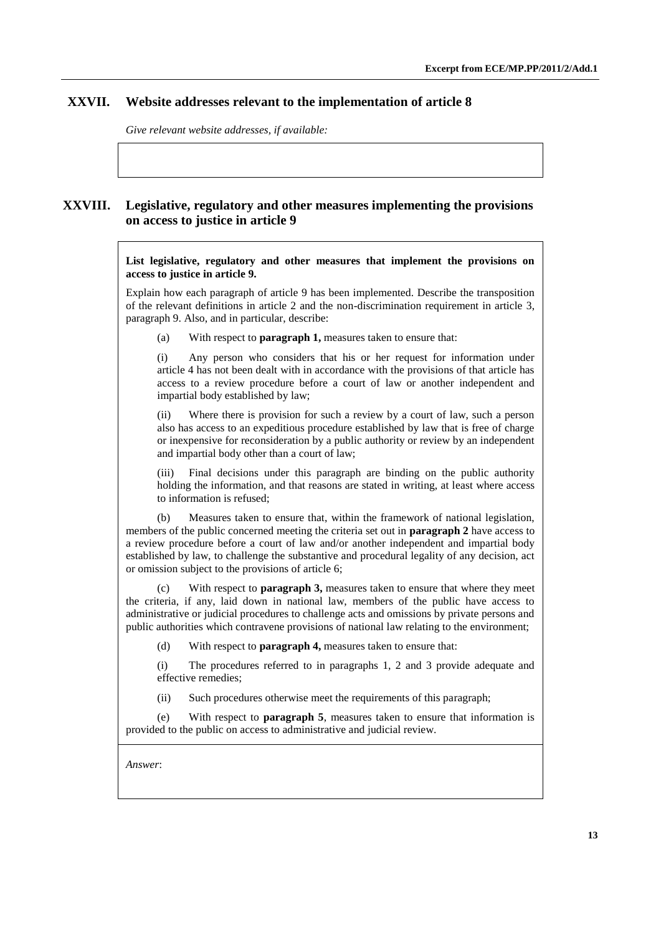# **XXVII. Website addresses relevant to the implementation of article 8**

*Give relevant website addresses, if available:*

# **XXVIII. Legislative, regulatory and other measures implementing the provisions on access to justice in article 9**

**List legislative, regulatory and other measures that implement the provisions on access to justice in article 9.**

Explain how each paragraph of article 9 has been implemented. Describe the transposition of the relevant definitions in article 2 and the non-discrimination requirement in article 3, paragraph 9. Also, and in particular, describe:

(a) With respect to **paragraph 1,** measures taken to ensure that:

(i) Any person who considers that his or her request for information under article 4 has not been dealt with in accordance with the provisions of that article has access to a review procedure before a court of law or another independent and impartial body established by law;

(ii) Where there is provision for such a review by a court of law, such a person also has access to an expeditious procedure established by law that is free of charge or inexpensive for reconsideration by a public authority or review by an independent and impartial body other than a court of law;

Final decisions under this paragraph are binding on the public authority holding the information, and that reasons are stated in writing, at least where access to information is refused;

(b) Measures taken to ensure that, within the framework of national legislation, members of the public concerned meeting the criteria set out in **paragraph 2** have access to a review procedure before a court of law and/or another independent and impartial body established by law, to challenge the substantive and procedural legality of any decision, act or omission subject to the provisions of article 6;

(c) With respect to **paragraph 3,** measures taken to ensure that where they meet the criteria, if any, laid down in national law, members of the public have access to administrative or judicial procedures to challenge acts and omissions by private persons and public authorities which contravene provisions of national law relating to the environment;

(d) With respect to **paragraph 4,** measures taken to ensure that:

(i) The procedures referred to in paragraphs 1, 2 and 3 provide adequate and effective remedies;

(ii) Such procedures otherwise meet the requirements of this paragraph;

(e) With respect to **paragraph 5**, measures taken to ensure that information is provided to the public on access to administrative and judicial review.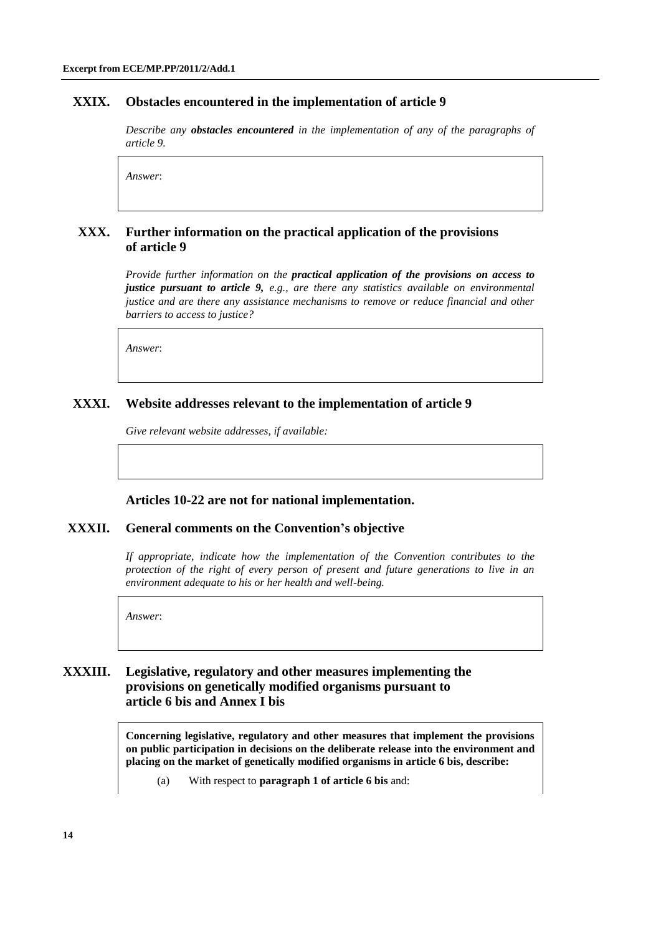### **XXIX. Obstacles encountered in the implementation of article 9**

*Describe any obstacles encountered in the implementation of any of the paragraphs of article 9.*

*Answer*:

### **XXX. Further information on the practical application of the provisions of article 9**

*Provide further information on the practical application of the provisions on access to justice pursuant to article 9, e.g., are there any statistics available on environmental justice and are there any assistance mechanisms to remove or reduce financial and other barriers to access to justice?*

*Answer*:

#### **XXXI. Website addresses relevant to the implementation of article 9**

*Give relevant website addresses, if available:*

#### **Articles 10-22 are not for national implementation.**

### **XXXII. General comments on the Convention's objective**

*If appropriate, indicate how the implementation of the Convention contributes to the protection of the right of every person of present and future generations to live in an environment adequate to his or her health and well-being.*

*Answer*:

# **XXXIII. Legislative, regulatory and other measures implementing the provisions on genetically modified organisms pursuant to article 6 bis and Annex I bis**

**Concerning legislative, regulatory and other measures that implement the provisions on public participation in decisions on the deliberate release into the environment and placing on the market of genetically modified organisms in article 6 bis, describe:**

(a) With respect to **paragraph 1 of article 6 bis** and: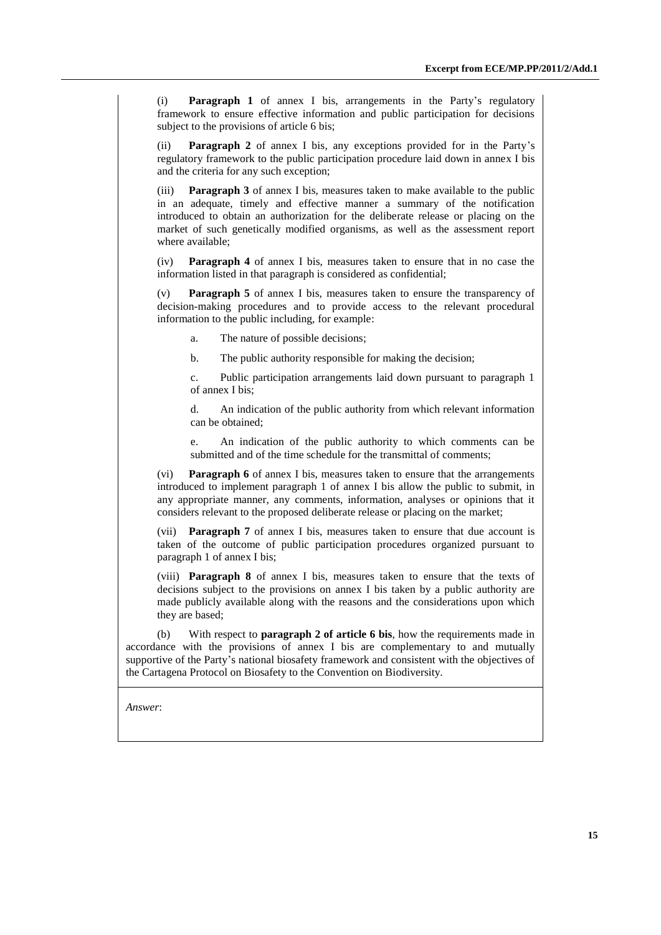(i) **Paragraph 1** of annex I bis, arrangements in the Party's regulatory framework to ensure effective information and public participation for decisions subject to the provisions of article 6 bis;

(ii) **Paragraph 2** of annex I bis, any exceptions provided for in the Party's regulatory framework to the public participation procedure laid down in annex I bis and the criteria for any such exception;

(iii) **Paragraph 3** of annex I bis, measures taken to make available to the public in an adequate, timely and effective manner a summary of the notification introduced to obtain an authorization for the deliberate release or placing on the market of such genetically modified organisms, as well as the assessment report where available;

(iv) **Paragraph 4** of annex I bis, measures taken to ensure that in no case the information listed in that paragraph is considered as confidential;

(v) **Paragraph 5** of annex I bis, measures taken to ensure the transparency of decision-making procedures and to provide access to the relevant procedural information to the public including, for example:

a. The nature of possible decisions;

b. The public authority responsible for making the decision;

c. Public participation arrangements laid down pursuant to paragraph 1 of annex I bis;

d. An indication of the public authority from which relevant information can be obtained;

e. An indication of the public authority to which comments can be submitted and of the time schedule for the transmittal of comments;

(vi) **Paragraph 6** of annex I bis, measures taken to ensure that the arrangements introduced to implement paragraph 1 of annex I bis allow the public to submit, in any appropriate manner, any comments, information, analyses or opinions that it considers relevant to the proposed deliberate release or placing on the market;

(vii) **Paragraph 7** of annex I bis, measures taken to ensure that due account is taken of the outcome of public participation procedures organized pursuant to paragraph 1 of annex I bis;

(viii) **Paragraph 8** of annex I bis, measures taken to ensure that the texts of decisions subject to the provisions on annex I bis taken by a public authority are made publicly available along with the reasons and the considerations upon which they are based;

(b) With respect to **paragraph 2 of article 6 bis**, how the requirements made in accordance with the provisions of annex I bis are complementary to and mutually supportive of the Party's national biosafety framework and consistent with the objectives of the Cartagena Protocol on Biosafety to the Convention on Biodiversity.